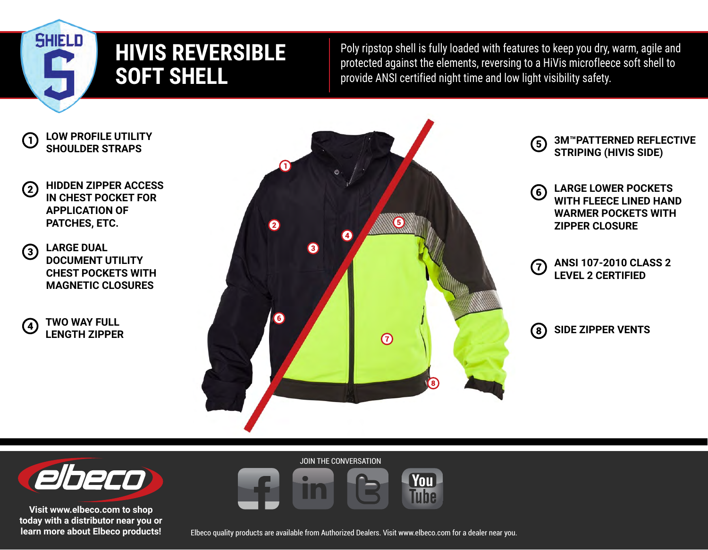## **HIVIS REVERSIBLE SOFT SHELL**

Poly ripstop shell is fully loaded with features to keep you dry, warm, agile and protected against the elements, reversing to a HiVis microfleece soft shell to provide ANSI certified night time and low light visibility safety.

**LOW PROFILE UTILITY**   $(1)$ **SHOULDER STRAPS**

**SHIELD** 

- **HIDDEN ZIPPER ACCESS**  (2) **IN CHEST POCKET FOR APPLICATION OF PATCHES, ETC.**
- **LARGE DUAL**   $\circled{3}$ **DOCUMENT UTILITY CHEST POCKETS WITH MAGNETIC CLOSURES**
- **TWO WAY FULL**   $(4)$ **LENGTH ZIPPER**



- **3M™PATTERNED REFLECTIVE G STRIPING (HIVIS SIDE)**
- **LARGE LOWER POCKETS**  6) **WITH FLEECE LINED HAND WARMER POCKETS WITH ZIPPER CLOSURE**
- **ANSI 107-2010 CLASS 2**  7) **LEVEL 2 CERTIFIED**
- **SIDE ZIPPER VENTS** $\bm{S}$



**Visit www.elbeco.com to shop today with a distributor near you or learn more about Elbeco products!**

Elbeco quality products are available from Authorized Dealers. Visit www.elbeco.com for a dealer near you.

You **Tine** 

JOIN THE CONVERSATION